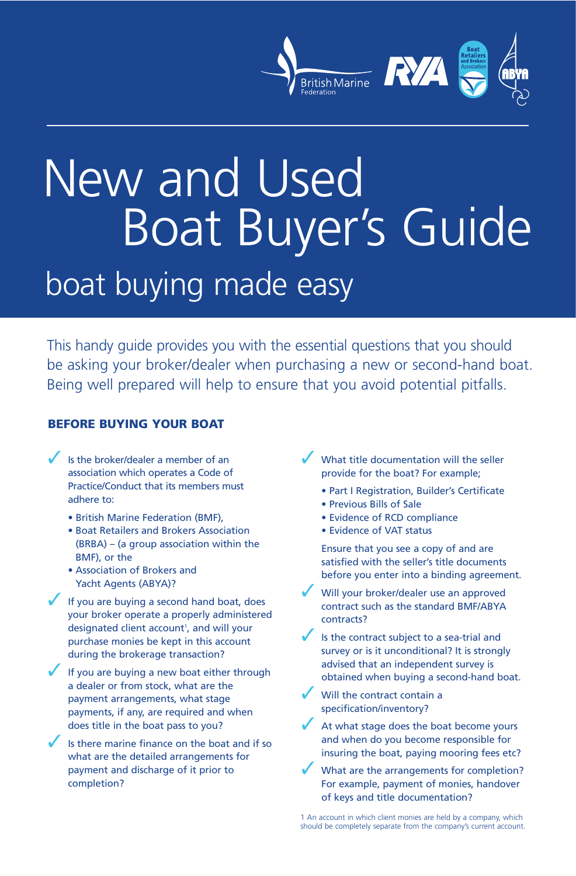

# New and Used Boat Buyer's Guide boat buying made easy

This handy guide provides you with the essential questions that you should be asking your broker/dealer when purchasing a new or second-hand boat. Being well prepared will help to ensure that you avoid potential pitfalls.

## **BEFORE BUYING YOUR BOAT**

- Is the broker/dealer a member of an association which operates a Code of Practice/Conduct that its members must adhere to:
	- British Marine Federation (BMF),
	- Boat Retailers and Brokers Association (BRBA) – (a group association within the BMF), or the
	- Association of Brokers and Yacht Agents (ABYA)?
- If you are buying a second hand boat, does your broker operate a properly administered designated client account<sup>1</sup>, and will your purchase monies be kept in this account during the brokerage transaction?
- If you are buying a new boat either through a dealer or from stock, what are the payment arrangements, what stage payments, if any, are required and when does title in the boat pass to you?
- Is there marine finance on the boat and if so what are the detailed arrangements for payment and discharge of it prior to completion?
- What title documentation will the seller provide for the boat? For example;
	- Part I Registration, Builder's Certificate
	- Previous Bills of Sale
	- Evidence of RCD compliance
	- Evidence of VAT status

Ensure that you see a copy of and are satisfied with the seller's title documents before you enter into a binding agreement.

- Will your broker/dealer use an approved contract such as the standard BMF/ABYA contracts?
- Is the contract subject to a sea-trial and survey or is it unconditional? It is strongly advised that an independent survey is obtained when buying a second-hand boat.
- Will the contract contain a specification/inventory?
- At what stage does the boat become yours and when do you become responsible for insuring the boat, paying mooring fees etc?
- What are the arrangements for completion? For example, payment of monies, handover of keys and title documentation?

1 An account in which client monies are held by a company, which should be completely separate from the company's current account.